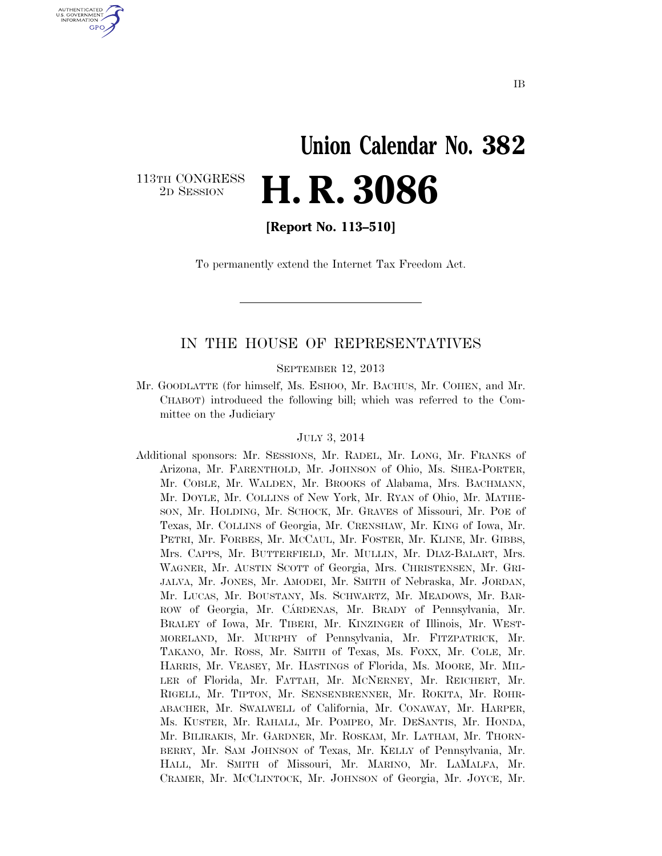## **Union Calendar No. 382**  2D SESSION **H. R. 3086**

113TH CONGRESS<br>2D SESSION

U.S. GOVERNMENT **GPO** 

**[Report No. 113–510]** 

To permanently extend the Internet Tax Freedom Act.

### IN THE HOUSE OF REPRESENTATIVES

SEPTEMBER 12, 2013

Mr. GOODLATTE (for himself, Ms. ESHOO, Mr. BACHUS, Mr. COHEN, and Mr. CHABOT) introduced the following bill; which was referred to the Committee on the Judiciary

#### JULY 3, 2014

Additional sponsors: Mr. SESSIONS, Mr. RADEL, Mr. LONG, Mr. FRANKS of Arizona, Mr. FARENTHOLD, Mr. JOHNSON of Ohio, Ms. SHEA-PORTER, Mr. COBLE, Mr. WALDEN, Mr. BROOKS of Alabama, Mrs. BACHMANN, Mr. DOYLE, Mr. COLLINS of New York, Mr. RYAN of Ohio, Mr. MATHE-SON, Mr. HOLDING, Mr. SCHOCK, Mr. GRAVES of Missouri, Mr. POE of Texas, Mr. COLLINS of Georgia, Mr. CRENSHAW, Mr. KING of Iowa, Mr. PETRI, Mr. FORBES, Mr. MCCAUL, Mr. FOSTER, Mr. KLINE, Mr. GIBBS, Mrs. CAPPS, Mr. BUTTERFIELD, Mr. MULLIN, Mr. DIAZ-BALART, Mrs. WAGNER, Mr. AUSTIN SCOTT of Georgia, Mrs. CHRISTENSEN, Mr. GRI-JALVA, Mr. JONES, Mr. AMODEI, Mr. SMITH of Nebraska, Mr. JORDAN, Mr. LUCAS, Mr. BOUSTANY, Ms. SCHWARTZ, Mr. MEADOWS, Mr. BAR-ROW of Georgia, Mr. CARDENAS, Mr. BRADY of Pennsylvania, Mr. BRALEY of Iowa, Mr. TIBERI, Mr. KINZINGER of Illinois, Mr. WEST-MORELAND, Mr. MURPHY of Pennsylvania, Mr. FITZPATRICK, Mr. TAKANO, Mr. ROSS, Mr. SMITH of Texas, Ms. FOXX, Mr. COLE, Mr. HARRIS, Mr. VEASEY, Mr. HASTINGS of Florida, Ms. MOORE, Mr. MIL-LER of Florida, Mr. FATTAH, Mr. MCNERNEY, Mr. REICHERT, Mr. RIGELL, Mr. TIPTON, Mr. SENSENBRENNER, Mr. ROKITA, Mr. ROHR-ABACHER, Mr. SWALWELL of California, Mr. CONAWAY, Mr. HARPER, Ms. KUSTER, Mr. RAHALL, Mr. POMPEO, Mr. DESANTIS, Mr. HONDA, Mr. BILIRAKIS, Mr. GARDNER, Mr. ROSKAM, Mr. LATHAM, Mr. THORN-BERRY, Mr. SAM JOHNSON of Texas, Mr. KELLY of Pennsylvania, Mr. HALL, Mr. SMITH of Missouri, Mr. MARINO, Mr. LAMALFA, Mr. CRAMER, Mr. MCCLINTOCK, Mr. JOHNSON of Georgia, Mr. JOYCE, Mr.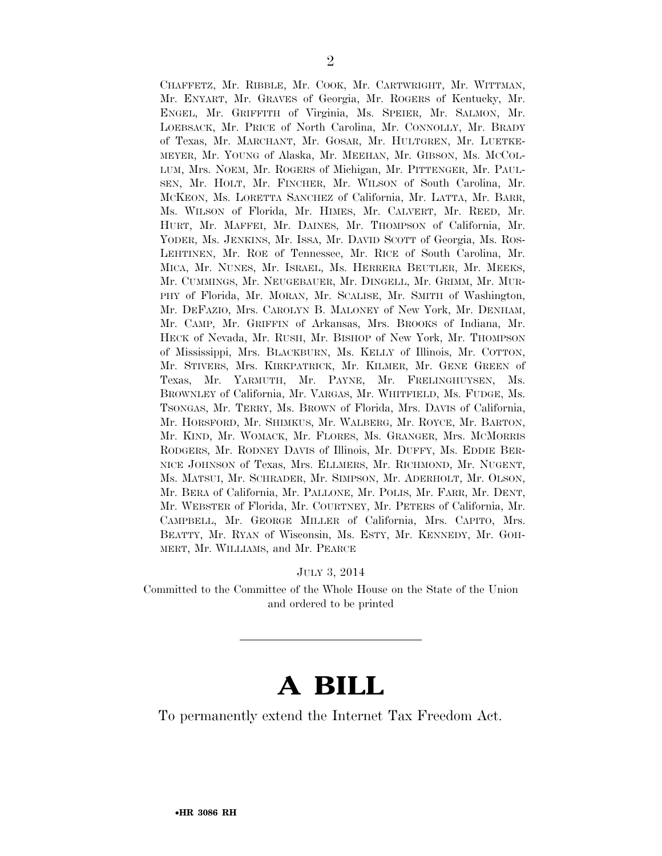CHAFFETZ, Mr. RIBBLE, Mr. COOK, Mr. CARTWRIGHT, Mr. WITTMAN, Mr. ENYART, Mr. GRAVES of Georgia, Mr. ROGERS of Kentucky, Mr. ENGEL, Mr. GRIFFITH of Virginia, Ms. SPEIER, Mr. SALMON, Mr. LOEBSACK, Mr. PRICE of North Carolina, Mr. CONNOLLY, Mr. BRADY of Texas, Mr. MARCHANT, Mr. GOSAR, Mr. HULTGREN, Mr. LUETKE-MEYER, Mr. YOUNG of Alaska, Mr. MEEHAN, Mr. GIBSON, Ms. MCCOL-LUM, Mrs. NOEM, Mr. ROGERS of Michigan, Mr. PITTENGER, Mr. PAUL-SEN, Mr. HOLT, Mr. FINCHER, Mr. WILSON of South Carolina, Mr. MCKEON, Ms. LORETTA SANCHEZ of California, Mr. LATTA, Mr. BARR, Ms. WILSON of Florida, Mr. HIMES, Mr. CALVERT, Mr. REED, Mr. HURT, Mr. MAFFEI, Mr. DAINES, Mr. THOMPSON of California, Mr. YODER, Ms. JENKINS, Mr. ISSA, Mr. DAVID SCOTT of Georgia, Ms. ROS-LEHTINEN, Mr. ROE of Tennessee, Mr. RICE of South Carolina, Mr. MICA, Mr. NUNES, Mr. ISRAEL, Ms. HERRERA BEUTLER, Mr. MEEKS, Mr. CUMMINGS, Mr. NEUGEBAUER, Mr. DINGELL, Mr. GRIMM, Mr. MUR-PHY of Florida, Mr. MORAN, Mr. SCALISE, Mr. SMITH of Washington, Mr. DEFAZIO, Mrs. CAROLYN B. MALONEY of New York, Mr. DENHAM, Mr. CAMP, Mr. GRIFFIN of Arkansas, Mrs. BROOKS of Indiana, Mr. HECK of Nevada, Mr. RUSH, Mr. BISHOP of New York, Mr. THOMPSON of Mississippi, Mrs. BLACKBURN, Ms. KELLY of Illinois, Mr. COTTON, Mr. STIVERS, Mrs. KIRKPATRICK, Mr. KILMER, Mr. GENE GREEN of Texas, Mr. YARMUTH, Mr. PAYNE, Mr. FRELINGHUYSEN, Ms. BROWNLEY of California, Mr. VARGAS, Mr. WHITFIELD, Ms. FUDGE, Ms. TSONGAS, Mr. TERRY, Ms. BROWN of Florida, Mrs. DAVIS of California, Mr. HORSFORD, Mr. SHIMKUS, Mr. WALBERG, Mr. ROYCE, Mr. BARTON, Mr. KIND, Mr. WOMACK, Mr. FLORES, Ms. GRANGER, Mrs. MCMORRIS RODGERS, Mr. RODNEY DAVIS of Illinois, Mr. DUFFY, Ms. EDDIE BER-NICE JOHNSON of Texas, Mrs. ELLMERS, Mr. RICHMOND, Mr. NUGENT, Ms. MATSUI, Mr. SCHRADER, Mr. SIMPSON, Mr. ADERHOLT, Mr. OLSON, Mr. BERA of California, Mr. PALLONE, Mr. POLIS, Mr. FARR, Mr. DENT, Mr. WEBSTER of Florida, Mr. COURTNEY, Mr. PETERS of California, Mr. CAMPBELL, Mr. GEORGE MILLER of California, Mrs. CAPITO, Mrs. BEATTY, Mr. RYAN of Wisconsin, Ms. ESTY, Mr. KENNEDY, Mr. GOH-MERT, Mr. WILLIAMS, and Mr. PEARCE

JULY 3, 2014

Committed to the Committee of the Whole House on the State of the Union and ordered to be printed

### **A BILL**

To permanently extend the Internet Tax Freedom Act.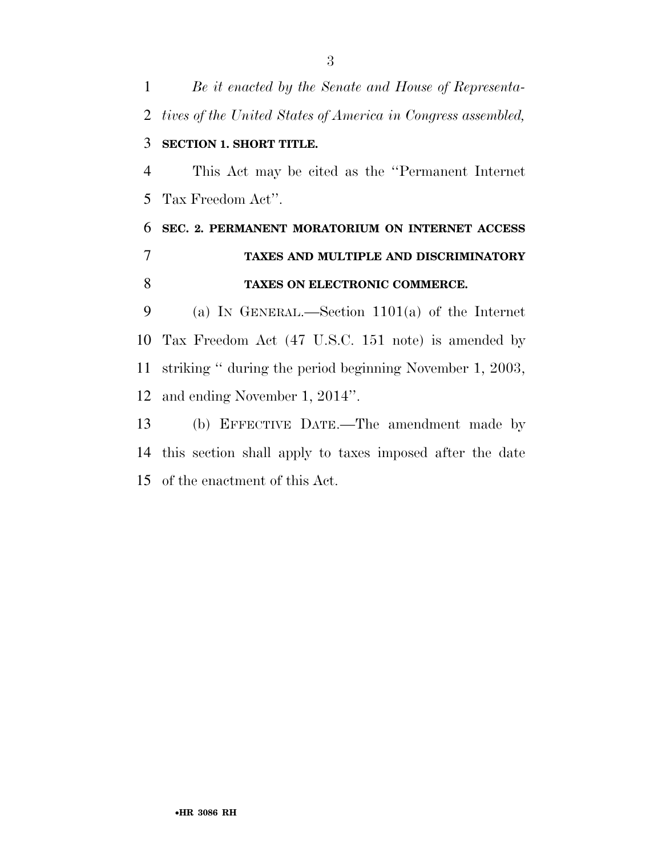*Be it enacted by the Senate and House of Representa- tives of the United States of America in Congress assembled,*  **SECTION 1. SHORT TITLE.**  This Act may be cited as the ''Permanent Internet Tax Freedom Act''. **SEC. 2. PERMANENT MORATORIUM ON INTERNET ACCESS TAXES AND MULTIPLE AND DISCRIMINATORY TAXES ON ELECTRONIC COMMERCE.**  (a) IN GENERAL.—Section 1101(a) of the Internet Tax Freedom Act (47 U.S.C. 151 note) is amended by striking '' during the period beginning November 1, 2003, and ending November 1, 2014''. (b) EFFECTIVE DATE.—The amendment made by this section shall apply to taxes imposed after the date of the enactment of this Act.